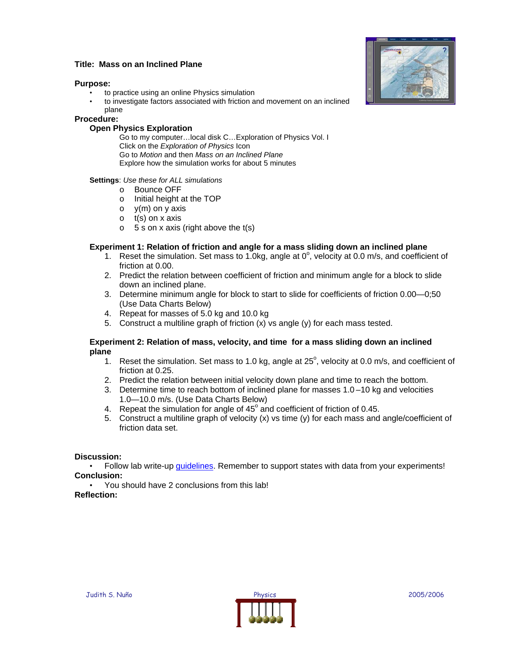## **Title: Mass on an Inclined Plane**

#### **Purpose:**

- to practice using an online Physics simulation
- to investigate factors associated with friction and movement on an inclined plane

#### **Procedure:**

## **Open Physics Exploration**

Go to my computer…local disk C…Exploration of Physics Vol. I Click on the *Exploration of Physics* Icon Go to *Motion* and then *Mass on an Inclined Plane* Explore how the simulation works for about 5 minutes

### **Settings**: *Use these for ALL simulations*

- o Bounce OFF
- o Initial height at the TOP
- $\circ$  y(m) on y axis
- $\circ$  t(s) on x axis
- $\circ$  5 s on x axis (right above the t(s)

### **Experiment 1: Relation of friction and angle for a mass sliding down an inclined plane**

- 1. Reset the simulation. Set mass to 1.0kg, angle at  $0^\circ$ , velocity at 0.0 m/s, and coefficient of friction at 0.00.
- 2. Predict the relation between coefficient of friction and minimum angle for a block to slide down an inclined plane.
- 3. Determine minimum angle for block to start to slide for coefficients of friction 0.00—0;50 (Use Data Charts Below)
- 4. Repeat for masses of 5.0 kg and 10.0 kg
- 5. Construct a multiline graph of friction  $(x)$  vs angle  $(y)$  for each mass tested.

### **Experiment 2: Relation of mass, velocity, and time for a mass sliding down an inclined plane**

- 1. Reset the simulation. Set mass to 1.0 kg, angle at  $25^\circ$ , velocity at 0.0 m/s, and coefficient of friction at 0.25.
- 2. Predict the relation between initial velocity down plane and time to reach the bottom.
- 3. Determine time to reach bottom of inclined plane for masses 1.0 –10 kg and velocities 1.0—10.0 m/s. (Use Data Charts Below)
- 4. Repeat the simulation for angle of  $45^\circ$  and coefficient of friction of 0.45.
- 5. Construct a multiline graph of velocity (x) vs time (y) for each mass and angle/coefficient of friction data set.

### **Discussion:**

• Follow lab write-up quidelines. Remember to support states with data from your experiments! **Conclusion:** 

• You should have 2 conclusions from this lab!

**Reflection:**